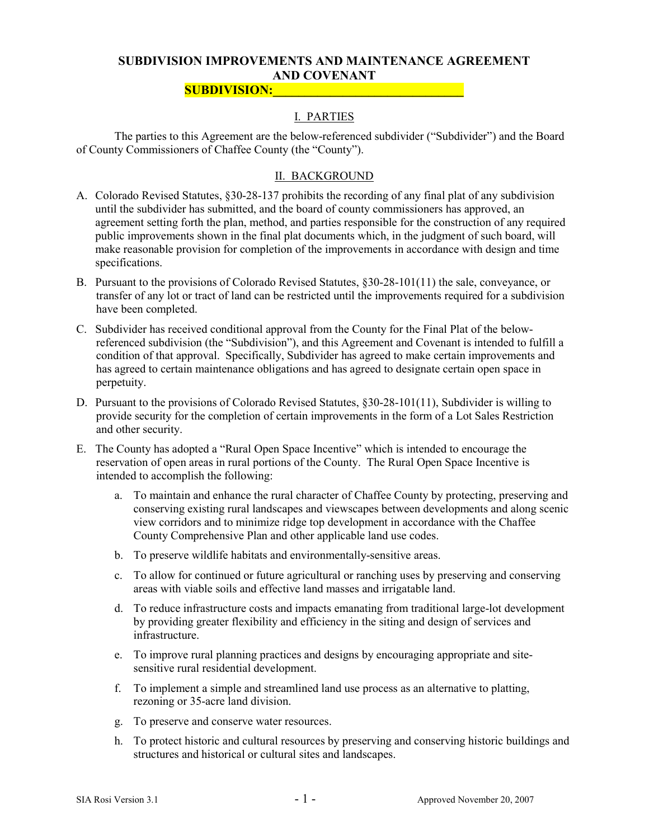### SUBDIVISION IMPROVEMENTS AND MAINTENANCE AGREEMENT AND COVENANT

#### SUBDIVISION:\_\_\_\_\_\_\_\_\_\_\_\_\_\_\_\_\_\_\_\_\_\_\_\_\_\_\_\_\_\_

## I. PARTIES

 The parties to this Agreement are the below-referenced subdivider ("Subdivider") and the Board of County Commissioners of Chaffee County (the "County").

### II. BACKGROUND

- A. Colorado Revised Statutes, §30-28-137 prohibits the recording of any final plat of any subdivision until the subdivider has submitted, and the board of county commissioners has approved, an agreement setting forth the plan, method, and parties responsible for the construction of any required public improvements shown in the final plat documents which, in the judgment of such board, will make reasonable provision for completion of the improvements in accordance with design and time specifications.
- B. Pursuant to the provisions of Colorado Revised Statutes, §30-28-101(11) the sale, conveyance, or transfer of any lot or tract of land can be restricted until the improvements required for a subdivision have been completed.
- C. Subdivider has received conditional approval from the County for the Final Plat of the belowreferenced subdivision (the "Subdivision"), and this Agreement and Covenant is intended to fulfill a condition of that approval. Specifically, Subdivider has agreed to make certain improvements and has agreed to certain maintenance obligations and has agreed to designate certain open space in perpetuity.
- D. Pursuant to the provisions of Colorado Revised Statutes, §30-28-101(11), Subdivider is willing to provide security for the completion of certain improvements in the form of a Lot Sales Restriction and other security.
- E. The County has adopted a "Rural Open Space Incentive" which is intended to encourage the reservation of open areas in rural portions of the County. The Rural Open Space Incentive is intended to accomplish the following:
	- a. To maintain and enhance the rural character of Chaffee County by protecting, preserving and conserving existing rural landscapes and viewscapes between developments and along scenic view corridors and to minimize ridge top development in accordance with the Chaffee County Comprehensive Plan and other applicable land use codes.
	- b. To preserve wildlife habitats and environmentally-sensitive areas.
	- c. To allow for continued or future agricultural or ranching uses by preserving and conserving areas with viable soils and effective land masses and irrigatable land.
	- d. To reduce infrastructure costs and impacts emanating from traditional large-lot development by providing greater flexibility and efficiency in the siting and design of services and infrastructure.
	- e. To improve rural planning practices and designs by encouraging appropriate and sitesensitive rural residential development.
	- f. To implement a simple and streamlined land use process as an alternative to platting, rezoning or 35-acre land division.
	- g. To preserve and conserve water resources.
	- h. To protect historic and cultural resources by preserving and conserving historic buildings and structures and historical or cultural sites and landscapes.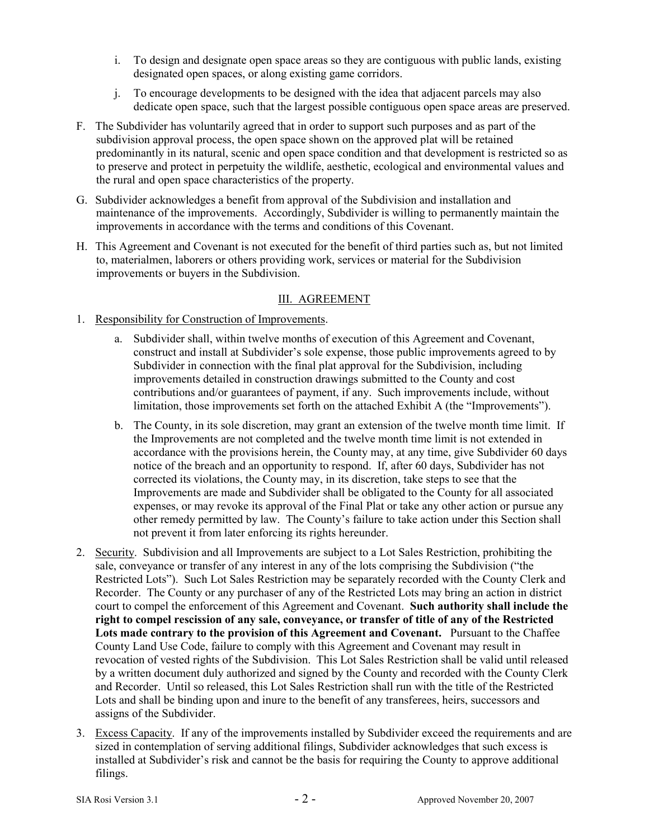- i. To design and designate open space areas so they are contiguous with public lands, existing designated open spaces, or along existing game corridors.
- j. To encourage developments to be designed with the idea that adjacent parcels may also dedicate open space, such that the largest possible contiguous open space areas are preserved.
- F. The Subdivider has voluntarily agreed that in order to support such purposes and as part of the subdivision approval process, the open space shown on the approved plat will be retained predominantly in its natural, scenic and open space condition and that development is restricted so as to preserve and protect in perpetuity the wildlife, aesthetic, ecological and environmental values and the rural and open space characteristics of the property.
- G. Subdivider acknowledges a benefit from approval of the Subdivision and installation and maintenance of the improvements. Accordingly, Subdivider is willing to permanently maintain the improvements in accordance with the terms and conditions of this Covenant.
- H. This Agreement and Covenant is not executed for the benefit of third parties such as, but not limited to, materialmen, laborers or others providing work, services or material for the Subdivision improvements or buyers in the Subdivision.

#### III. AGREEMENT

- 1. Responsibility for Construction of Improvements.
	- a. Subdivider shall, within twelve months of execution of this Agreement and Covenant, construct and install at Subdivider's sole expense, those public improvements agreed to by Subdivider in connection with the final plat approval for the Subdivision, including improvements detailed in construction drawings submitted to the County and cost contributions and/or guarantees of payment, if any. Such improvements include, without limitation, those improvements set forth on the attached Exhibit A (the "Improvements").
	- b. The County, in its sole discretion, may grant an extension of the twelve month time limit. If the Improvements are not completed and the twelve month time limit is not extended in accordance with the provisions herein, the County may, at any time, give Subdivider 60 days notice of the breach and an opportunity to respond. If, after 60 days, Subdivider has not corrected its violations, the County may, in its discretion, take steps to see that the Improvements are made and Subdivider shall be obligated to the County for all associated expenses, or may revoke its approval of the Final Plat or take any other action or pursue any other remedy permitted by law. The County's failure to take action under this Section shall not prevent it from later enforcing its rights hereunder.
- 2. Security. Subdivision and all Improvements are subject to a Lot Sales Restriction, prohibiting the sale, conveyance or transfer of any interest in any of the lots comprising the Subdivision ("the Restricted Lots"). Such Lot Sales Restriction may be separately recorded with the County Clerk and Recorder. The County or any purchaser of any of the Restricted Lots may bring an action in district court to compel the enforcement of this Agreement and Covenant. Such authority shall include the right to compel rescission of any sale, conveyance, or transfer of title of any of the Restricted Lots made contrary to the provision of this Agreement and Covenant. Pursuant to the Chaffee County Land Use Code, failure to comply with this Agreement and Covenant may result in revocation of vested rights of the Subdivision. This Lot Sales Restriction shall be valid until released by a written document duly authorized and signed by the County and recorded with the County Clerk and Recorder. Until so released, this Lot Sales Restriction shall run with the title of the Restricted Lots and shall be binding upon and inure to the benefit of any transferees, heirs, successors and assigns of the Subdivider.
- 3. Excess Capacity. If any of the improvements installed by Subdivider exceed the requirements and are sized in contemplation of serving additional filings, Subdivider acknowledges that such excess is installed at Subdivider's risk and cannot be the basis for requiring the County to approve additional filings.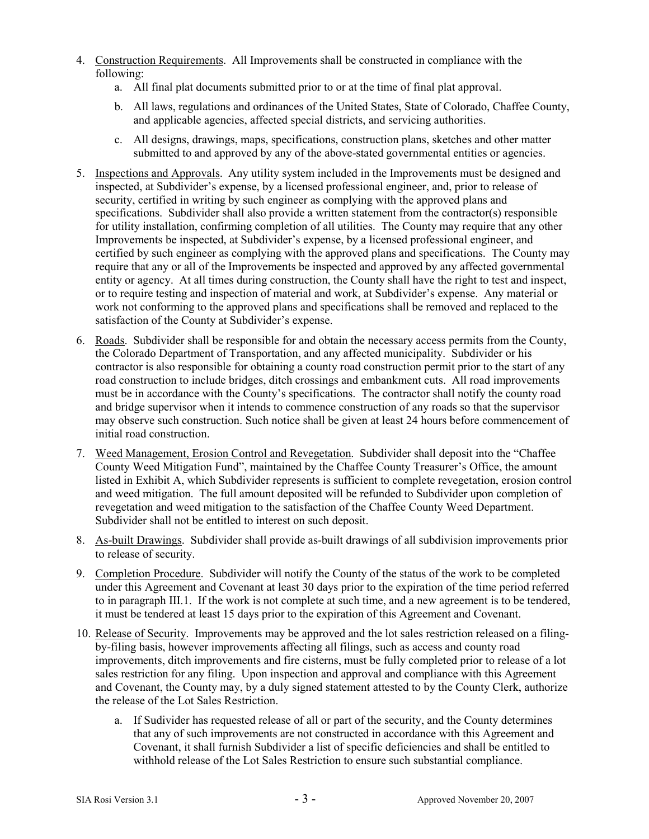- 4. Construction Requirements. All Improvements shall be constructed in compliance with the following:
	- a. All final plat documents submitted prior to or at the time of final plat approval.
	- b. All laws, regulations and ordinances of the United States, State of Colorado, Chaffee County, and applicable agencies, affected special districts, and servicing authorities.
	- c. All designs, drawings, maps, specifications, construction plans, sketches and other matter submitted to and approved by any of the above-stated governmental entities or agencies.
- 5. Inspections and Approvals. Any utility system included in the Improvements must be designed and inspected, at Subdivider's expense, by a licensed professional engineer, and, prior to release of security, certified in writing by such engineer as complying with the approved plans and specifications. Subdivider shall also provide a written statement from the contractor(s) responsible for utility installation, confirming completion of all utilities. The County may require that any other Improvements be inspected, at Subdivider's expense, by a licensed professional engineer, and certified by such engineer as complying with the approved plans and specifications. The County may require that any or all of the Improvements be inspected and approved by any affected governmental entity or agency. At all times during construction, the County shall have the right to test and inspect, or to require testing and inspection of material and work, at Subdivider's expense. Any material or work not conforming to the approved plans and specifications shall be removed and replaced to the satisfaction of the County at Subdivider's expense.
- 6. Roads. Subdivider shall be responsible for and obtain the necessary access permits from the County, the Colorado Department of Transportation, and any affected municipality. Subdivider or his contractor is also responsible for obtaining a county road construction permit prior to the start of any road construction to include bridges, ditch crossings and embankment cuts. All road improvements must be in accordance with the County's specifications. The contractor shall notify the county road and bridge supervisor when it intends to commence construction of any roads so that the supervisor may observe such construction. Such notice shall be given at least 24 hours before commencement of initial road construction.
- 7. Weed Management, Erosion Control and Revegetation. Subdivider shall deposit into the "Chaffee County Weed Mitigation Fund", maintained by the Chaffee County Treasurer's Office, the amount listed in Exhibit A, which Subdivider represents is sufficient to complete revegetation, erosion control and weed mitigation. The full amount deposited will be refunded to Subdivider upon completion of revegetation and weed mitigation to the satisfaction of the Chaffee County Weed Department. Subdivider shall not be entitled to interest on such deposit.
- 8. As-built Drawings. Subdivider shall provide as-built drawings of all subdivision improvements prior to release of security.
- 9. Completion Procedure. Subdivider will notify the County of the status of the work to be completed under this Agreement and Covenant at least 30 days prior to the expiration of the time period referred to in paragraph III.1. If the work is not complete at such time, and a new agreement is to be tendered, it must be tendered at least 15 days prior to the expiration of this Agreement and Covenant.
- 10. Release of Security. Improvements may be approved and the lot sales restriction released on a filingby-filing basis, however improvements affecting all filings, such as access and county road improvements, ditch improvements and fire cisterns, must be fully completed prior to release of a lot sales restriction for any filing. Upon inspection and approval and compliance with this Agreement and Covenant, the County may, by a duly signed statement attested to by the County Clerk, authorize the release of the Lot Sales Restriction.
	- a. If Sudivider has requested release of all or part of the security, and the County determines that any of such improvements are not constructed in accordance with this Agreement and Covenant, it shall furnish Subdivider a list of specific deficiencies and shall be entitled to withhold release of the Lot Sales Restriction to ensure such substantial compliance.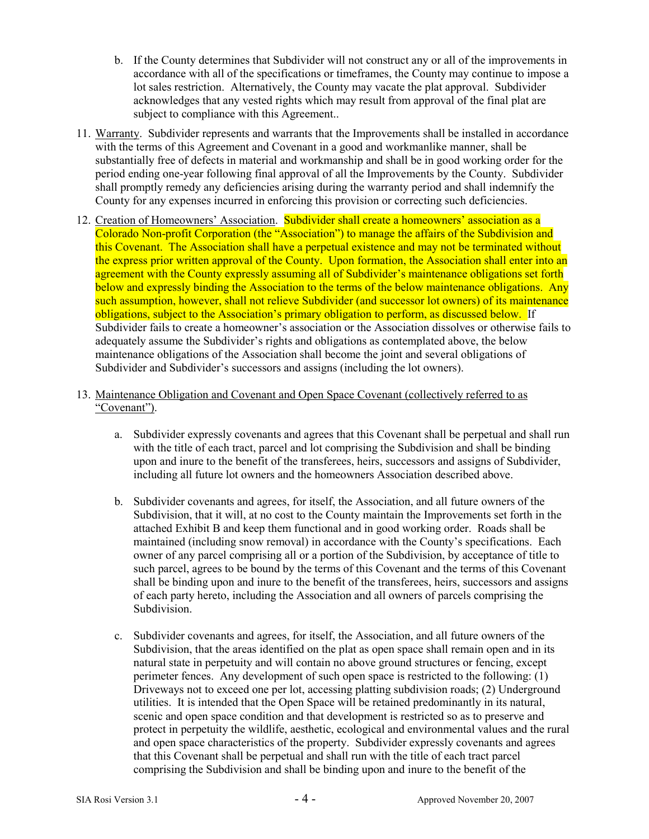- b. If the County determines that Subdivider will not construct any or all of the improvements in accordance with all of the specifications or timeframes, the County may continue to impose a lot sales restriction. Alternatively, the County may vacate the plat approval. Subdivider acknowledges that any vested rights which may result from approval of the final plat are subject to compliance with this Agreement..
- 11. Warranty. Subdivider represents and warrants that the Improvements shall be installed in accordance with the terms of this Agreement and Covenant in a good and workmanlike manner, shall be substantially free of defects in material and workmanship and shall be in good working order for the period ending one-year following final approval of all the Improvements by the County. Subdivider shall promptly remedy any deficiencies arising during the warranty period and shall indemnify the County for any expenses incurred in enforcing this provision or correcting such deficiencies.
- 12. Creation of Homeowners' Association. Subdivider shall create a homeowners' association as a Colorado Non-profit Corporation (the "Association") to manage the affairs of the Subdivision and this Covenant. The Association shall have a perpetual existence and may not be terminated without the express prior written approval of the County. Upon formation, the Association shall enter into an agreement with the County expressly assuming all of Subdivider's maintenance obligations set forth below and expressly binding the Association to the terms of the below maintenance obligations. Any such assumption, however, shall not relieve Subdivider (and successor lot owners) of its maintenance obligations, subject to the Association's primary obligation to perform, as discussed below. If Subdivider fails to create a homeowner's association or the Association dissolves or otherwise fails to adequately assume the Subdivider's rights and obligations as contemplated above, the below maintenance obligations of the Association shall become the joint and several obligations of Subdivider and Subdivider's successors and assigns (including the lot owners).
- 13. Maintenance Obligation and Covenant and Open Space Covenant (collectively referred to as "Covenant").
	- a. Subdivider expressly covenants and agrees that this Covenant shall be perpetual and shall run with the title of each tract, parcel and lot comprising the Subdivision and shall be binding upon and inure to the benefit of the transferees, heirs, successors and assigns of Subdivider, including all future lot owners and the homeowners Association described above.
	- b. Subdivider covenants and agrees, for itself, the Association, and all future owners of the Subdivision, that it will, at no cost to the County maintain the Improvements set forth in the attached Exhibit B and keep them functional and in good working order. Roads shall be maintained (including snow removal) in accordance with the County's specifications. Each owner of any parcel comprising all or a portion of the Subdivision, by acceptance of title to such parcel, agrees to be bound by the terms of this Covenant and the terms of this Covenant shall be binding upon and inure to the benefit of the transferees, heirs, successors and assigns of each party hereto, including the Association and all owners of parcels comprising the Subdivision.
	- c. Subdivider covenants and agrees, for itself, the Association, and all future owners of the Subdivision, that the areas identified on the plat as open space shall remain open and in its natural state in perpetuity and will contain no above ground structures or fencing, except perimeter fences. Any development of such open space is restricted to the following: (1) Driveways not to exceed one per lot, accessing platting subdivision roads; (2) Underground utilities. It is intended that the Open Space will be retained predominantly in its natural, scenic and open space condition and that development is restricted so as to preserve and protect in perpetuity the wildlife, aesthetic, ecological and environmental values and the rural and open space characteristics of the property. Subdivider expressly covenants and agrees that this Covenant shall be perpetual and shall run with the title of each tract parcel comprising the Subdivision and shall be binding upon and inure to the benefit of the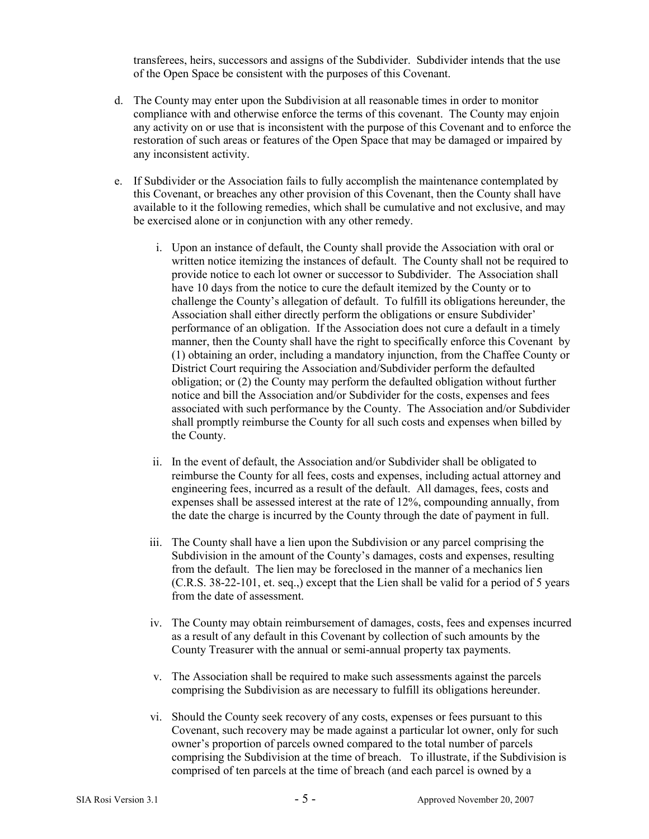transferees, heirs, successors and assigns of the Subdivider. Subdivider intends that the use of the Open Space be consistent with the purposes of this Covenant.

- d. The County may enter upon the Subdivision at all reasonable times in order to monitor compliance with and otherwise enforce the terms of this covenant. The County may enjoin any activity on or use that is inconsistent with the purpose of this Covenant and to enforce the restoration of such areas or features of the Open Space that may be damaged or impaired by any inconsistent activity.
- e. If Subdivider or the Association fails to fully accomplish the maintenance contemplated by this Covenant, or breaches any other provision of this Covenant, then the County shall have available to it the following remedies, which shall be cumulative and not exclusive, and may be exercised alone or in conjunction with any other remedy.
	- i. Upon an instance of default, the County shall provide the Association with oral or written notice itemizing the instances of default. The County shall not be required to provide notice to each lot owner or successor to Subdivider. The Association shall have 10 days from the notice to cure the default itemized by the County or to challenge the County's allegation of default. To fulfill its obligations hereunder, the Association shall either directly perform the obligations or ensure Subdivider' performance of an obligation. If the Association does not cure a default in a timely manner, then the County shall have the right to specifically enforce this Covenant by (1) obtaining an order, including a mandatory injunction, from the Chaffee County or District Court requiring the Association and/Subdivider perform the defaulted obligation; or (2) the County may perform the defaulted obligation without further notice and bill the Association and/or Subdivider for the costs, expenses and fees associated with such performance by the County. The Association and/or Subdivider shall promptly reimburse the County for all such costs and expenses when billed by the County.
	- ii. In the event of default, the Association and/or Subdivider shall be obligated to reimburse the County for all fees, costs and expenses, including actual attorney and engineering fees, incurred as a result of the default. All damages, fees, costs and expenses shall be assessed interest at the rate of 12%, compounding annually, from the date the charge is incurred by the County through the date of payment in full.
	- iii. The County shall have a lien upon the Subdivision or any parcel comprising the Subdivision in the amount of the County's damages, costs and expenses, resulting from the default. The lien may be foreclosed in the manner of a mechanics lien (C.R.S. 38-22-101, et. seq.,) except that the Lien shall be valid for a period of 5 years from the date of assessment.
	- iv. The County may obtain reimbursement of damages, costs, fees and expenses incurred as a result of any default in this Covenant by collection of such amounts by the County Treasurer with the annual or semi-annual property tax payments.
	- v. The Association shall be required to make such assessments against the parcels comprising the Subdivision as are necessary to fulfill its obligations hereunder.
	- vi. Should the County seek recovery of any costs, expenses or fees pursuant to this Covenant, such recovery may be made against a particular lot owner, only for such owner's proportion of parcels owned compared to the total number of parcels comprising the Subdivision at the time of breach. To illustrate, if the Subdivision is comprised of ten parcels at the time of breach (and each parcel is owned by a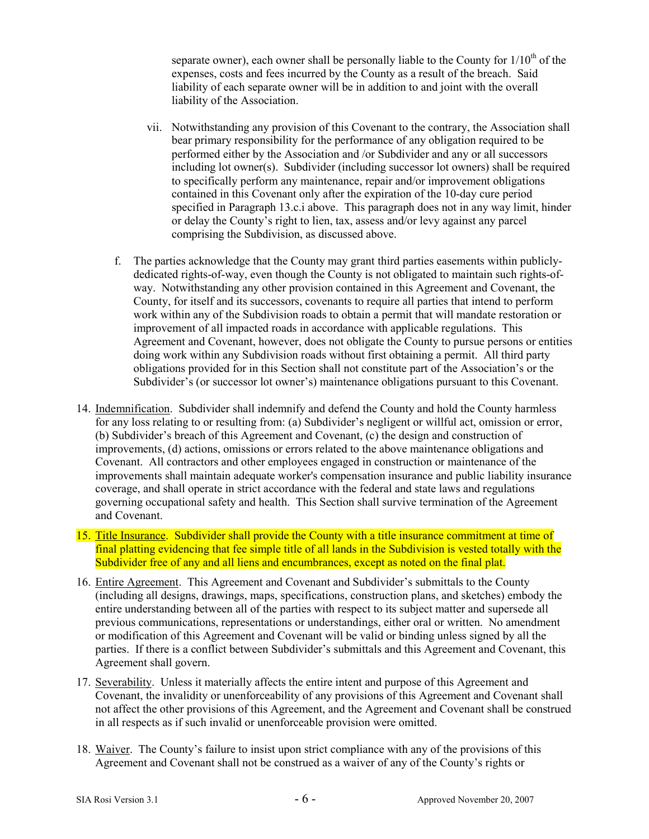separate owner), each owner shall be personally liable to the County for  $1/10<sup>th</sup>$  of the expenses, costs and fees incurred by the County as a result of the breach. Said liability of each separate owner will be in addition to and joint with the overall liability of the Association.

- vii. Notwithstanding any provision of this Covenant to the contrary, the Association shall bear primary responsibility for the performance of any obligation required to be performed either by the Association and /or Subdivider and any or all successors including lot owner(s). Subdivider (including successor lot owners) shall be required to specifically perform any maintenance, repair and/or improvement obligations contained in this Covenant only after the expiration of the 10-day cure period specified in Paragraph 13.c.i above. This paragraph does not in any way limit, hinder or delay the County's right to lien, tax, assess and/or levy against any parcel comprising the Subdivision, as discussed above.
- f. The parties acknowledge that the County may grant third parties easements within publiclydedicated rights-of-way, even though the County is not obligated to maintain such rights-ofway. Notwithstanding any other provision contained in this Agreement and Covenant, the County, for itself and its successors, covenants to require all parties that intend to perform work within any of the Subdivision roads to obtain a permit that will mandate restoration or improvement of all impacted roads in accordance with applicable regulations. This Agreement and Covenant, however, does not obligate the County to pursue persons or entities doing work within any Subdivision roads without first obtaining a permit. All third party obligations provided for in this Section shall not constitute part of the Association's or the Subdivider's (or successor lot owner's) maintenance obligations pursuant to this Covenant.
- 14. Indemnification. Subdivider shall indemnify and defend the County and hold the County harmless for any loss relating to or resulting from: (a) Subdivider's negligent or willful act, omission or error, (b) Subdivider's breach of this Agreement and Covenant, (c) the design and construction of improvements, (d) actions, omissions or errors related to the above maintenance obligations and Covenant. All contractors and other employees engaged in construction or maintenance of the improvements shall maintain adequate worker's compensation insurance and public liability insurance coverage, and shall operate in strict accordance with the federal and state laws and regulations governing occupational safety and health. This Section shall survive termination of the Agreement and Covenant.
- 15. Title Insurance. Subdivider shall provide the County with a title insurance commitment at time of final platting evidencing that fee simple title of all lands in the Subdivision is vested totally with the Subdivider free of any and all liens and encumbrances, except as noted on the final plat.
- 16. Entire Agreement. This Agreement and Covenant and Subdivider's submittals to the County (including all designs, drawings, maps, specifications, construction plans, and sketches) embody the entire understanding between all of the parties with respect to its subject matter and supersede all previous communications, representations or understandings, either oral or written. No amendment or modification of this Agreement and Covenant will be valid or binding unless signed by all the parties. If there is a conflict between Subdivider's submittals and this Agreement and Covenant, this Agreement shall govern.
- 17. Severability. Unless it materially affects the entire intent and purpose of this Agreement and Covenant, the invalidity or unenforceability of any provisions of this Agreement and Covenant shall not affect the other provisions of this Agreement, and the Agreement and Covenant shall be construed in all respects as if such invalid or unenforceable provision were omitted.
- 18. Waiver. The County's failure to insist upon strict compliance with any of the provisions of this Agreement and Covenant shall not be construed as a waiver of any of the County's rights or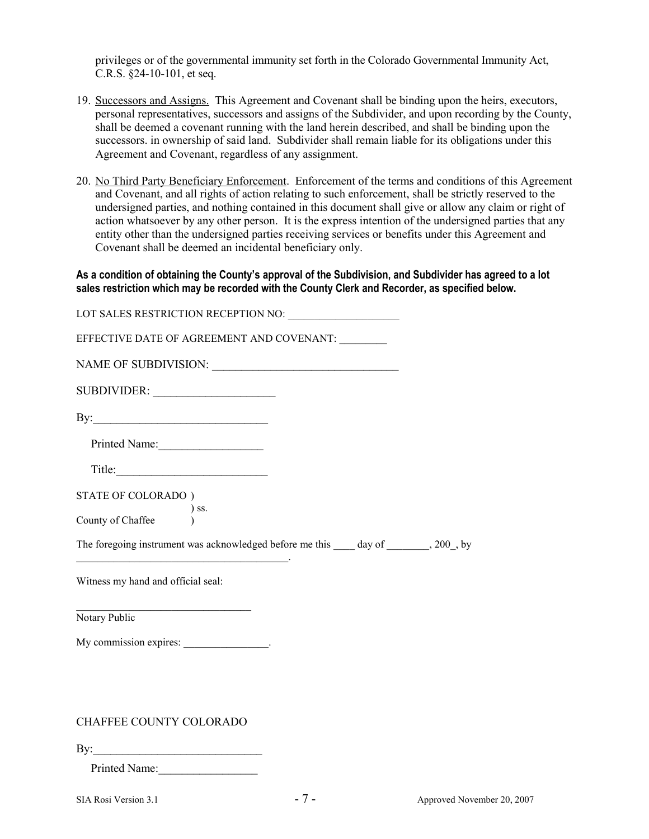privileges or of the governmental immunity set forth in the Colorado Governmental Immunity Act, C.R.S. §24-10-101, et seq.

- 19. Successors and Assigns. This Agreement and Covenant shall be binding upon the heirs, executors, personal representatives, successors and assigns of the Subdivider, and upon recording by the County, shall be deemed a covenant running with the land herein described, and shall be binding upon the successors. in ownership of said land. Subdivider shall remain liable for its obligations under this Agreement and Covenant, regardless of any assignment.
- 20. No Third Party Beneficiary Enforcement. Enforcement of the terms and conditions of this Agreement and Covenant, and all rights of action relating to such enforcement, shall be strictly reserved to the undersigned parties, and nothing contained in this document shall give or allow any claim or right of action whatsoever by any other person. It is the express intention of the undersigned parties that any entity other than the undersigned parties receiving services or benefits under this Agreement and Covenant shall be deemed an incidental beneficiary only.

As a condition of obtaining the County's approval of the Subdivision, and Subdivider has agreed to a lot sales restriction which may be recorded with the County Clerk and Recorder, as specified below.

| LOT SALES RESTRICTION RECEPTION NO:                                                                                                                        |
|------------------------------------------------------------------------------------------------------------------------------------------------------------|
| EFFECTIVE DATE OF AGREEMENT AND COVENANT:                                                                                                                  |
|                                                                                                                                                            |
|                                                                                                                                                            |
| By: $\frac{1}{2}$                                                                                                                                          |
| Printed Name:                                                                                                                                              |
|                                                                                                                                                            |
| STATE OF COLORADO)                                                                                                                                         |
| ) ss.<br>County of Chaffee                                                                                                                                 |
| The foregoing instrument was acknowledged before me this _____ day of ________, 200_, by                                                                   |
| <u> 1989 - Johann John Stein, markin fan it ferskearre fan it ferskearre fan it ferskearre fan it ferskearre fan</u><br>Witness my hand and official seal: |
| <u> 1989 - Johann John Stone, market fan it ferstjer fan it ferstjer fan it ferstjer fan it ferstjer fan it fers</u><br>Notary Public                      |
| My commission expires: ________________.                                                                                                                   |
|                                                                                                                                                            |
|                                                                                                                                                            |
| CHAEFEE COUNTY COLORADO                                                                                                                                    |

CHAFFEE COUNTY COLORADO

By:

Printed Name: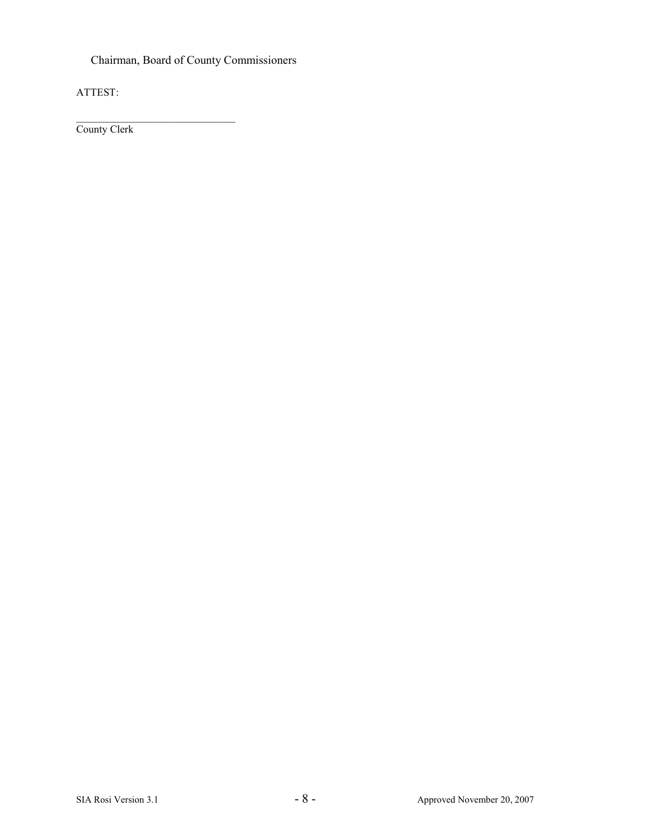Chairman, Board of County Commissioners

ATTEST:

\_\_\_\_\_\_\_\_\_\_\_\_\_\_\_\_\_\_\_\_\_\_\_\_\_\_\_\_\_\_ County Clerk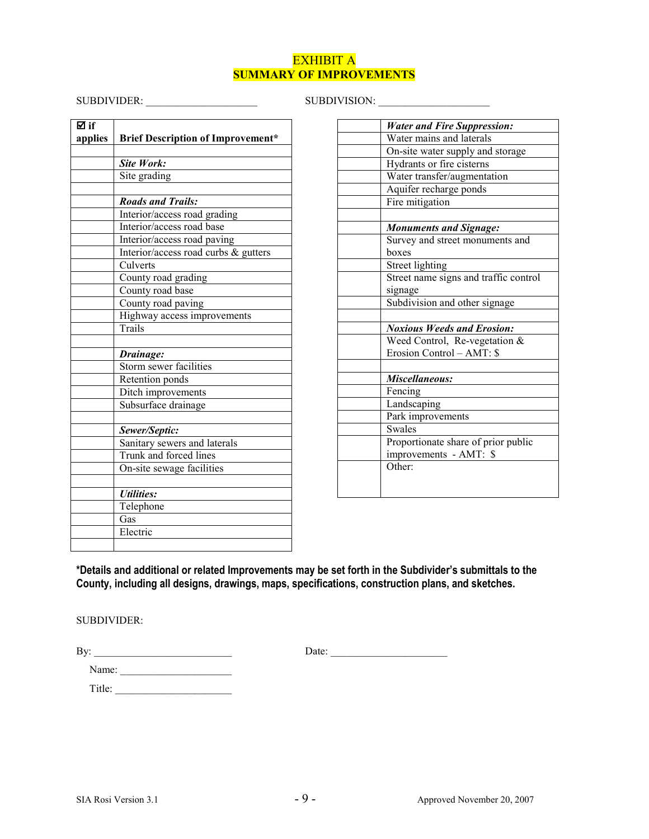### EXHIBIT A SUMMARY OF IMPROVEMENTS

# SUBDIVIDER: \_\_\_\_\_\_\_\_\_\_\_\_\_\_\_\_\_\_\_\_\_ SUBDIVISION: \_\_\_\_\_\_\_\_\_\_\_\_\_\_\_\_\_\_\_\_\_

| ⊠ if    |                                          |
|---------|------------------------------------------|
| applies | <b>Brief Description of Improvement*</b> |
|         |                                          |
|         | Site Work:                               |
|         | Site grading                             |
|         |                                          |
|         | <b>Roads and Trails:</b>                 |
|         | Interior/access road grading             |
|         | Interior/access road base                |
|         | Interior/access road paving              |
|         | Interior/access road curbs & gutters     |
|         | Culverts                                 |
|         | County road grading                      |
|         | County road base                         |
|         | County road paving                       |
|         | Highway access improvements              |
|         | Trails                                   |
|         |                                          |
|         | Drainage:                                |
|         | Storm sewer facilities                   |
|         | Retention ponds                          |
|         | Ditch improvements                       |
|         | Subsurface drainage                      |
|         |                                          |
|         | Sewer/Septic:                            |
|         | Sanitary sewers and laterals             |
|         | Trunk and forced lines                   |
|         | On-site sewage facilities                |
|         |                                          |
|         | <b><i>Utilities:</i></b>                 |
|         | Telephone                                |
|         | Gas                                      |
|         | Electric                                 |
|         |                                          |

| <b>Water and Fire Suppression:</b>    |
|---------------------------------------|
| Water mains and laterals              |
| On-site water supply and storage      |
| Hydrants or fire cisterns             |
| Water transfer/augmentation           |
| Aquifer recharge ponds                |
| Fire mitigation                       |
|                                       |
| <b>Monuments and Signage:</b>         |
| Survey and street monuments and       |
| boxes                                 |
| Street lighting                       |
| Street name signs and traffic control |
| signage                               |
| Subdivision and other signage         |
|                                       |
| <b>Noxious Weeds and Erosion:</b>     |
| Weed Control, Re-vegetation &         |
| Erosion Control – AMT: \$             |
|                                       |
| Miscellaneous:                        |
| Fencing                               |
| Landscaping                           |
| Park improvements                     |
| Swales                                |
| Proportionate share of prior public   |
| improvements - AMT: \$                |
| Other:                                |
|                                       |
|                                       |

\*Details and additional or related Improvements may be set forth in the Subdivider's submittals to the County, including all designs, drawings, maps, specifications, construction plans, and sketches.

SUBDIVIDER:

By: \_\_\_\_\_\_\_\_\_\_\_\_\_\_\_\_\_\_\_\_\_\_\_\_\_\_ Date: \_\_\_\_\_\_\_\_\_\_\_\_\_\_\_\_\_\_\_\_\_\_

| ۰,<br>I |  |
|---------|--|
|---------|--|

 Name: \_\_\_\_\_\_\_\_\_\_\_\_\_\_\_\_\_\_\_\_\_ Title: \_\_\_\_\_\_\_\_\_\_\_\_\_\_\_\_\_\_\_\_\_\_